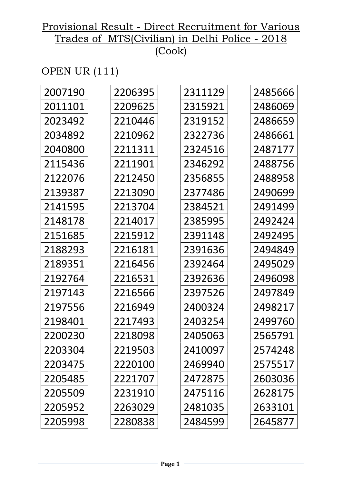# OPEN UR (111)

| 2007190 | 2206395 | 2311129 | 2485666 |
|---------|---------|---------|---------|
| 2011101 | 2209625 | 2315921 | 2486069 |
| 2023492 | 2210446 | 2319152 | 2486659 |
| 2034892 | 2210962 | 2322736 | 2486661 |
| 2040800 | 2211311 | 2324516 | 2487177 |
| 2115436 | 2211901 | 2346292 | 2488756 |
| 2122076 | 2212450 | 2356855 | 2488958 |
| 2139387 | 2213090 | 2377486 | 2490699 |
| 2141595 | 2213704 | 2384521 | 2491499 |
| 2148178 | 2214017 | 2385995 | 2492424 |
| 2151685 | 2215912 | 2391148 | 2492495 |
| 2188293 | 2216181 | 2391636 | 2494849 |
| 2189351 | 2216456 | 2392464 | 2495029 |
| 2192764 | 2216531 | 2392636 | 2496098 |
| 2197143 | 2216566 | 2397526 | 2497849 |
| 2197556 | 2216949 | 2400324 | 2498217 |
| 2198401 | 2217493 | 2403254 | 2499760 |
| 2200230 | 2218098 | 2405063 | 2565791 |
| 2203304 | 2219503 | 2410097 | 2574248 |
| 2203475 | 2220100 | 2469940 | 2575517 |
| 2205485 | 2221707 | 2472875 | 2603036 |
| 2205509 | 2231910 | 2475116 | 2628175 |
| 2205952 | 2263029 | 2481035 | 2633101 |
| 2205998 | 2280838 | 2484599 | 2645877 |
|         |         |         |         |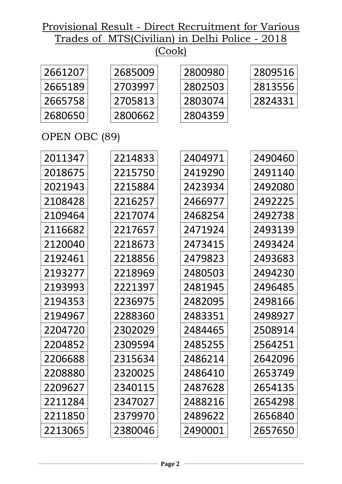| 2661207 | 2685009 | 2800980 | 2809516 |
|---------|---------|---------|---------|
| 2665189 | 2703997 | 2802503 | 2813556 |
| 2665758 | 2705813 | 2803074 | 2824331 |
| 2680650 | 2800662 | 2804359 |         |
|         |         |         |         |

# OPEN OBC (89)

| 2011347 | 2214833 | 2404971 | 2490460 |
|---------|---------|---------|---------|
| 2018675 | 2215750 | 2419290 | 2491140 |
| 2021943 | 2215884 | 2423934 | 2492080 |
| 2108428 | 2216257 | 2466977 | 2492225 |
| 2109464 | 2217074 | 2468254 | 2492738 |
| 2116682 | 2217657 | 2471924 | 2493139 |
| 2120040 | 2218673 | 2473415 | 2493424 |
| 2192461 | 2218856 | 2479823 | 2493683 |
| 2193277 | 2218969 | 2480503 | 2494230 |
| 2193993 | 2221397 | 2481945 | 2496485 |
| 2194353 | 2236975 | 2482095 | 2498166 |
| 2194967 | 2288360 | 2483351 | 2498927 |
| 2204720 | 2302029 | 2484465 | 2508914 |
| 2204852 | 2309594 | 2485255 | 2564251 |
| 2206688 | 2315634 | 2486214 | 2642096 |
| 2208880 | 2320025 | 2486410 | 2653749 |
| 2209627 | 2340115 | 2487628 | 2654135 |
| 2211284 | 2347027 | 2488216 | 2654298 |
| 2211850 | 2379970 | 2489622 | 2656840 |
| 2213065 | 2380046 | 2490001 | 2657650 |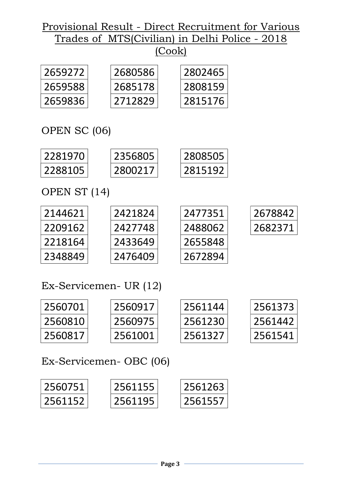| 2659272 | 2680586 | 2802465 |
|---------|---------|---------|
| 2659588 | 2685178 | 2808159 |
| 2659836 | 2712829 | 2815176 |

OPEN SC (06)

| 2281970 | 2356805 | 2808505 |
|---------|---------|---------|
| 2288105 | 2800217 | 2815192 |

OPEN ST (14)

| 2144621 | 2421824 | 2477351 | 2678842 |
|---------|---------|---------|---------|
| 2209162 | 2427748 | 2488062 | 2682371 |
| 2218164 | 2433649 | 2655848 |         |
| 2348849 | 2476409 | 2672894 |         |

Ex-Servicemen- UR (12)

| 2560701 | 2560917 | 2561144 | 2561373 |
|---------|---------|---------|---------|
| 2560810 | 2560975 | 2561230 | 2561442 |
| 2560817 | 2561001 | 2561327 | 2561541 |

Ex-Servicemen- OBC (06)

| 2560751 | 2561155 | 2561263  |
|---------|---------|----------|
| 2561152 | 2561195 | 12561557 |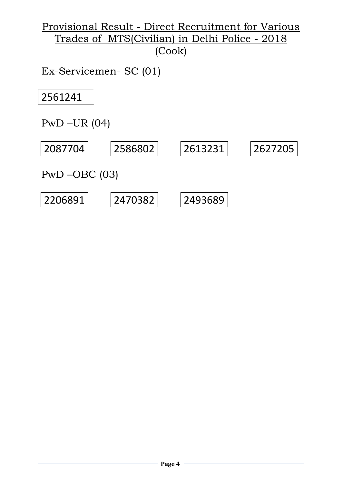Ex-Servicemen- SC (01)

2561241

PwD –UR (04)

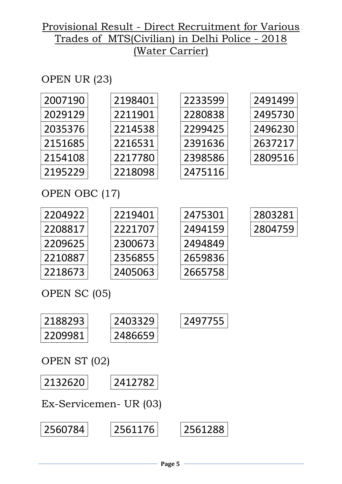# OPEN UR (23)

| 2007190 | 2198401 | 2233599 | 2491499 |
|---------|---------|---------|---------|
| 2029129 | 2211901 | 2280838 | 2495730 |
| 2035376 | 2214538 | 2299425 | 2496230 |
| 2151685 | 2216531 | 2391636 | 2637217 |
| 2154108 | 2217780 | 2398586 | 2809516 |
| 2195229 | 2218098 | 2475116 |         |
|         |         |         |         |

# OPEN OBC (17)

| 2204922 | 2219401 |
|---------|---------|
| 2208817 | 2221707 |
| 2209625 | 2300673 |
| 2210887 | 2356855 |
| 2218673 | 2405063 |

| 2188293 | 2403329 | 2497755 |
|---------|---------|---------|
| 2209981 | 2486659 |         |

# OPEN ST (02)



Ex-Servicemen- UR (03)

| 2560784 | 2561176 | 2561288 |
|---------|---------|---------|
|         |         |         |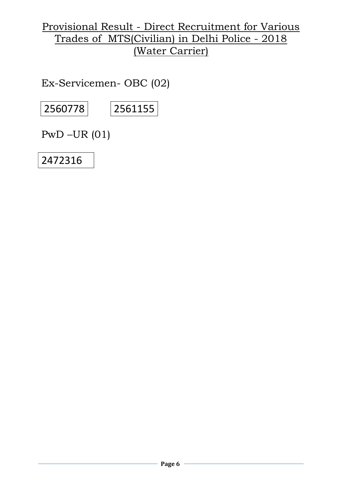Ex-Servicemen- OBC (02)

2560778 2561155

PwD –UR (01)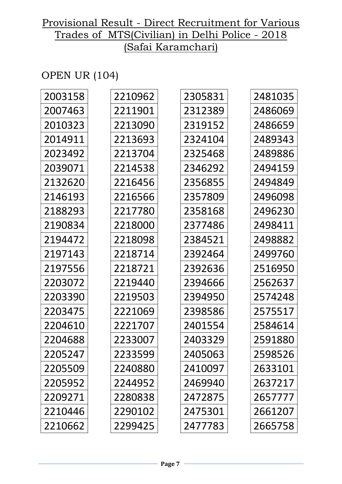# OPEN UR (104)

| 2210962 | 2305831 | 2481035 |
|---------|---------|---------|
| 2211901 | 2312389 | 2486069 |
| 2213090 | 2319152 | 2486659 |
| 2213693 | 2324104 | 2489343 |
| 2213704 | 2325468 | 2489886 |
| 2214538 | 2346292 | 2494159 |
| 2216456 | 2356855 | 2494849 |
| 2216566 | 2357809 | 2496098 |
| 2217780 | 2358168 | 2496230 |
| 2218000 | 2377486 | 2498411 |
| 2218098 | 2384521 | 2498882 |
| 2218714 | 2392464 | 2499760 |
| 2218721 | 2392636 | 2516950 |
| 2219440 | 2394666 | 2562637 |
| 2219503 | 2394950 | 2574248 |
| 2221069 | 2398586 | 2575517 |
| 2221707 | 2401554 | 2584614 |
| 2233007 | 2403329 | 2591880 |
| 2233599 | 2405063 | 2598526 |
| 2240880 | 2410097 | 2633101 |
| 2244952 | 2469940 | 2637217 |
| 2280838 | 2472875 | 2657777 |
| 2290102 | 2475301 | 2661207 |
| 2299425 | 2477783 | 2665758 |
|         |         |         |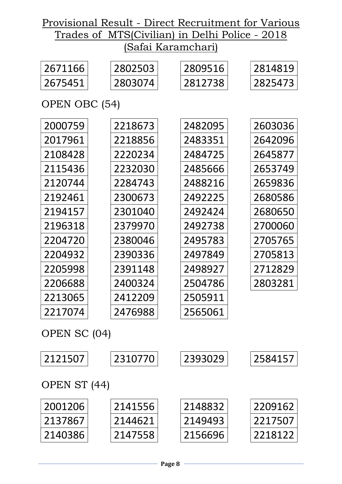| 2671166       | 2802503 | 2809516 | 2814819 |
|---------------|---------|---------|---------|
| 2675451       | 2803074 | 2812738 | 2825473 |
| OPEN OBC (54) |         |         |         |
|               |         |         |         |
| 2000759       | 2218673 | 2482095 | 2603036 |
| 2017961       | 2218856 | 2483351 | 2642096 |
| 2108428       | 2220234 | 2484725 | 2645877 |
| 2115436       | 2232030 | 2485666 | 2653749 |
| 2120744       | 2284743 | 2488216 | 2659836 |
| 2192461       | 2300673 | 2492225 | 2680586 |
| 2194157       | 2301040 | 2492424 | 2680650 |
| 2196318       | 2379970 | 2492738 | 2700060 |
| 2204720       | 2380046 | 2495783 | 2705765 |
| 2204932       | 2390336 | 2497849 | 2705813 |
| 2205998       | 2391148 | 2498927 | 2712829 |
| 2206688       | 2400324 | 2504786 | 2803281 |
| 2213065       | 2412209 | 2505911 |         |
| 2217074       | 2476988 | 2565061 |         |
|               |         |         |         |
| OPEN SC (04)  |         |         |         |
| 2121507       | 2310770 | 2393029 | 2584157 |
|               |         |         |         |
| OPEN ST (44)  |         |         |         |

| 2001206 | 2141556 | 2148832 | 2209162  |
|---------|---------|---------|----------|
| 2137867 | 2144621 | 2149493 | -2217507 |
| 2140386 | 2147558 | 2156696 | -2218122 |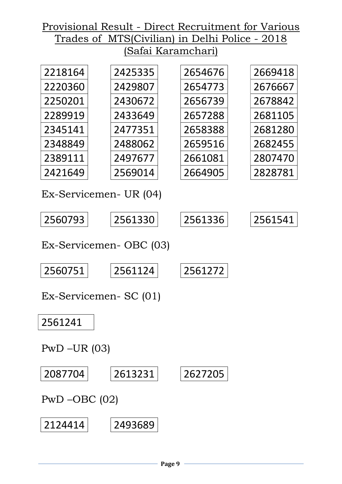| 2218164 | 2425335 | 2654676 | 2669418 |
|---------|---------|---------|---------|
| 2220360 | 2429807 | 2654773 | 2676667 |
| 2250201 | 2430672 | 2656739 | 2678842 |
| 2289919 | 2433649 | 2657288 | 2681105 |
| 2345141 | 2477351 | 2658388 | 2681280 |
| 2348849 | 2488062 | 2659516 | 2682455 |
| 2389111 | 2497677 | 2661081 | 2807470 |
| 2421649 | 2569014 | 2664905 | 2828781 |

Ex-Servicemen- UR (04)

| '2560793 | 2561330 | .2561336 | 2561541 |
|----------|---------|----------|---------|
|----------|---------|----------|---------|

Ex-Servicemen- OBC (03)

| 2560751         | 2561124                | 2561272 |
|-----------------|------------------------|---------|
|                 | Ex-Servicemen- SC (01) |         |
| 2561241         |                        |         |
| $PWD$ –UR (03)  |                        |         |
| 2087704         | 2613231                | 2627205 |
| $PWD$ –OBC (02) |                        |         |
| 2124414         | 2493689                |         |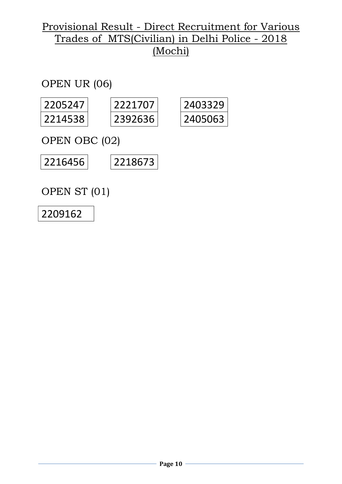OPEN UR (06)

| 2205247 | 7771707 | 2403329 |
|---------|---------|---------|
| 2214538 | 2392636 | 2405063 |

OPEN OBC (02)



OPEN ST (01)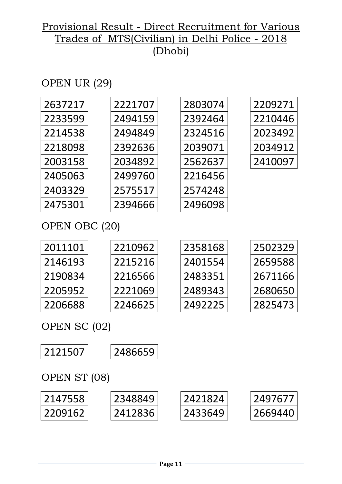# OPEN UR (29)

| 2637217  | 2221707 | 2803074 | 2209271 |
|----------|---------|---------|---------|
| 2233599  | 2494159 | 2392464 | 2210446 |
| 2214538  | 2494849 | 2324516 | 2023492 |
| 2218098  | 2392636 | 2039071 | 2034912 |
| 2003158  | 2034892 | 2562637 | 2410097 |
| 2405063  | 2499760 | 2216456 |         |
| 2403329  | 2575517 | 2574248 |         |
| 2475301  | 2394666 | 2496098 |         |
| $\Omega$ |         |         |         |

OPEN OBC (20)

| 2011101 | 2210962 | 2358168 | 2502329 |
|---------|---------|---------|---------|
| 2146193 | 2215216 | 2401554 | 2659588 |
| 2190834 | 2216566 | 2483351 | 2671166 |
| 2205952 | 2221069 | 2489343 | 2680650 |
| 2206688 | 2246625 | 2492225 | 2825473 |

OPEN SC (02)



OPEN ST (08)

| 2147558 | 2348849 | 2421824 | 2497677 |
|---------|---------|---------|---------|
| 2209162 | 2412836 | 2433649 | 2669440 |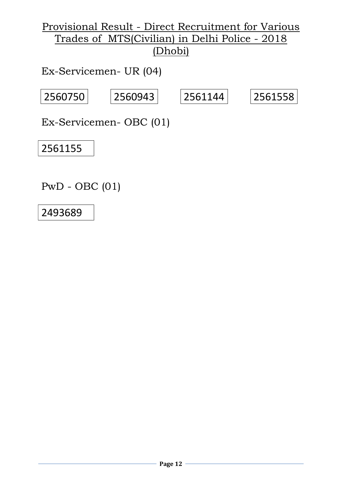Ex-Servicemen- UR (04)

$$
\fbox{2560750} \qquad \fbox{2560943} \qquad \fbox{2561144} \qquad \fbox{2561558}
$$

Ex-Servicemen- OBC (01)

2561155

PwD - OBC (01)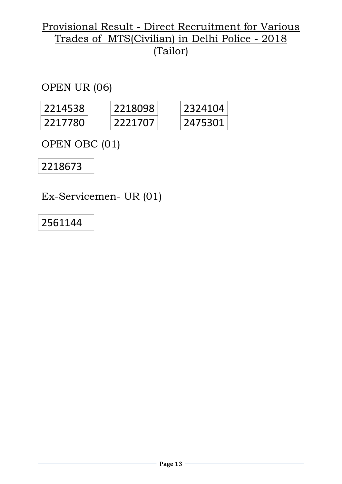OPEN UR (06)

| 2214538 | 2218098 |
|---------|---------|
| 2217780 | 2221707 |

| 2324104           |
|-------------------|
| 7530<br>$\lambda$ |

OPEN OBC (01)

2218673

Ex-Servicemen- UR (01)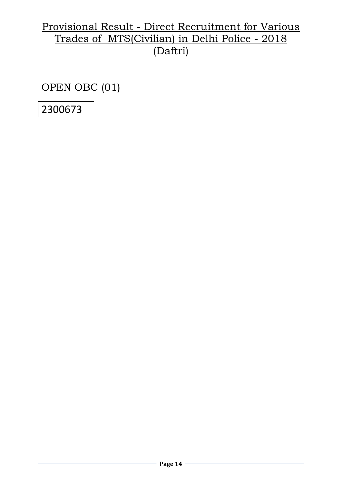OPEN OBC (01)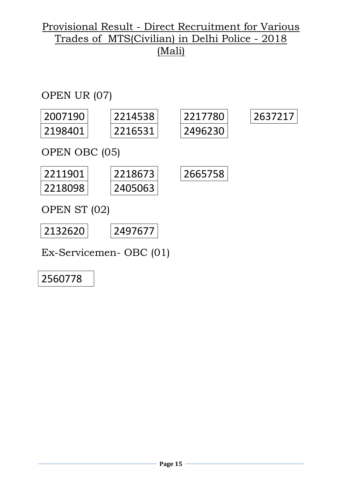

Ex-Servicemen- OBC (01)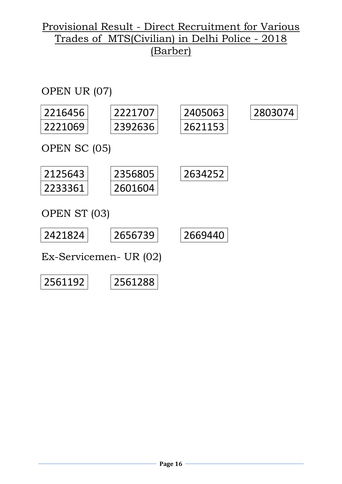